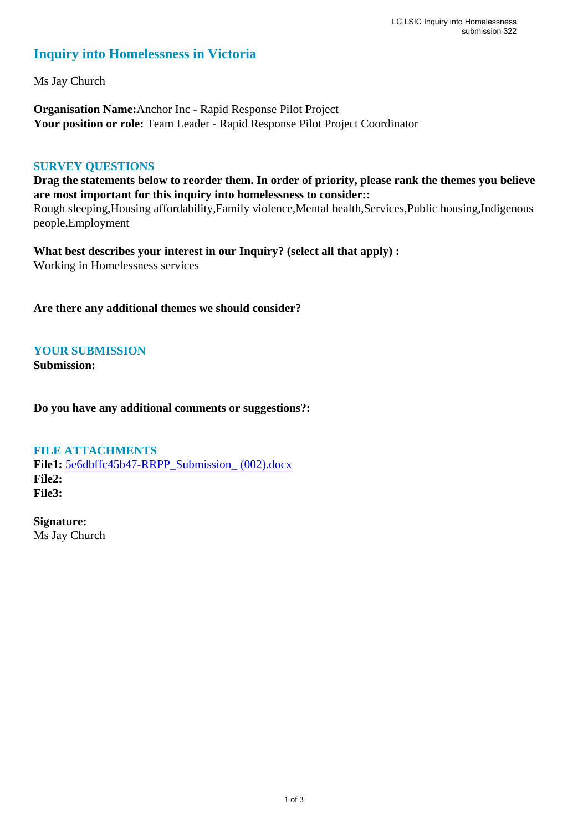# **Inquiry into Homelessness in Victoria**

Ms Jay Church

**Organisation Name:**Anchor Inc - Rapid Response Pilot Project **Your position or role:** Team Leader - Rapid Response Pilot Project Coordinator

# **SURVEY QUESTIONS**

**Drag the statements below to reorder them. In order of priority, please rank the themes you believe are most important for this inquiry into homelessness to consider::** 

Rough sleeping,Housing affordability,Family violence,Mental health,Services,Public housing,Indigenous people,Employment

**What best describes your interest in our Inquiry? (select all that apply) :**  Working in Homelessness services

**Are there any additional themes we should consider?**

**YOUR SUBMISSION**

**Submission:** 

**Do you have any additional comments or suggestions?:** 

# **FILE ATTACHMENTS**

**File1:** 5e6dbffc45b47-RRPP\_Submission\_ (002).docx **File2: File3:** 

**Signature:** Ms Jay Church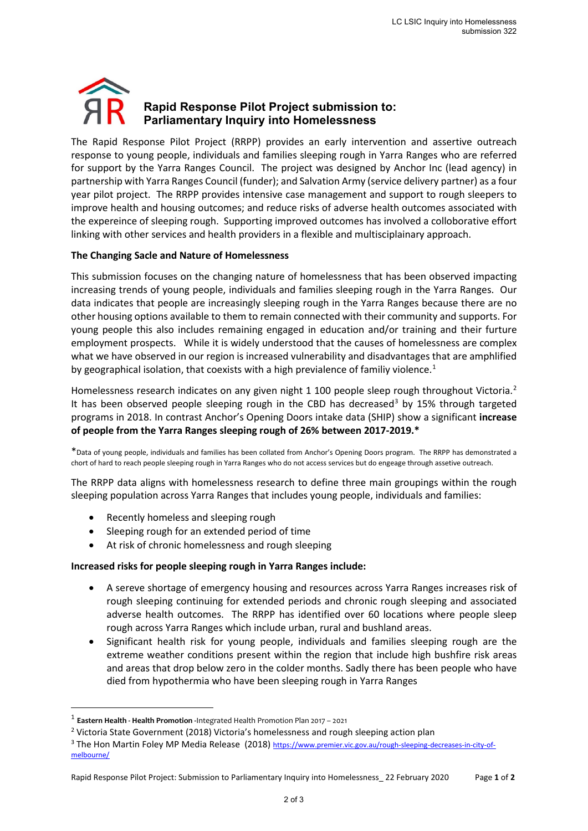# **Rapid Response Pilot Project submission to: Parliamentary Inquiry into Homelessness**

The Rapid Response Pilot Project (RRPP) provides an early intervention and assertive outreach response to young people, individuals and families sleeping rough in Yarra Ranges who are referred for support by the Yarra Ranges Council. The project was designed by Anchor Inc (lead agency) in partnership with Yarra Ranges Council (funder); and Salvation Army (service delivery partner) as a four year pilot project. The RRPP provides intensive case management and support to rough sleepers to improve health and housing outcomes; and reduce risks of adverse health outcomes associated with the expereince of sleeping rough. Supporting improved outcomes has involved a colloborative effort linking with other services and health providers in a flexible and multisciplainary approach.

# **The Changing Sacle and Nature of Homelessness**

This submission focuses on the changing nature of homelessness that has been observed impacting increasing trends of young people, individuals and families sleeping rough in the Yarra Ranges. Our data indicates that people are increasingly sleeping rough in the Yarra Ranges because there are no other housing options available to them to remain connected with their community and supports. For young people this also includes remaining engaged in education and/or training and their furture employment prospects. While it is widely understood that the causes of homelessness are complex what we have observed in our region is increased vulnerability and disadvantages that are amphlified by geographical isolation, that coexists with a high previalence of familiy violence.<sup>1</sup>

Homelessness research indicates on any given night 1 100 people sleep rough throughout Victoria.<sup>2</sup> It has been observed people sleeping rough in the CBD has decreased<sup>3</sup> by 15% through targeted programs in 2018. In contrast Anchor's Opening Doors intake data (SHIP) show a significant **increase of people from the Yarra Ranges sleeping rough of 26% between 2017-2019.\***

\*Data of young people, individuals and families has been collated from Anchor's Opening Doors program. The RRPP has demonstrated a chort of hard to reach people sleeping rough in Yarra Ranges who do not access services but do engeage through assetive outreach.

The RRPP data aligns with homelessness research to define three main groupings within the rough sleeping population across Yarra Ranges that includes young people, individuals and families:

- Recently homeless and sleeping rough
- Sleeping rough for an extended period of time
- At risk of chronic homelessness and rough sleeping

#### **Increased risks for people sleeping rough in Yarra Ranges include:**

- A sereve shortage of emergency housing and resources across Yarra Ranges increases risk of rough sleeping continuing for extended periods and chronic rough sleeping and associated adverse health outcomes. The RRPP has identified over 60 locations where people sleep rough across Yarra Ranges which include urban, rural and bushland areas.
- Significant health risk for young people, individuals and families sleeping rough are the extreme weather conditions present within the region that include high bushfire risk areas and areas that drop below zero in the colder months. Sadly there has been people who have died from hypothermia who have been sleeping rough in Yarra Ranges

<sup>1</sup> **Eastern Health - Health Promotion -**Integrated Health Promotion Plan 2017 – 2021

<sup>&</sup>lt;sup>2</sup> Victoria State Government (2018) Victoria's homelessness and rough sleeping action plan

<sup>&</sup>lt;sup>3</sup> The Hon Martin Foley MP Media Release (2018) https://www.premier.vic.gov.au/rough-sleeping-decreases-in-city-ofmelbourne/

Rapid Response Pilot Project: Submission to Parliamentary Inquiry into Homelessness\_ 22 February 2020 Page **1** of **2**